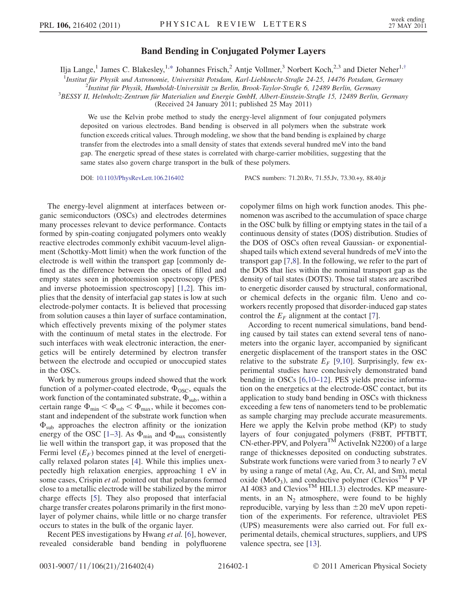## Band Bending in Conjugated Polymer Layers

<span id="page-0-0"></span>Ilja Lange,<sup>1</sup> James C. Blakesley,<sup>1[,\\*](#page-3-0)</sup> Johannes Frisch,<sup>2</sup> Antje Vollmer,<sup>3</sup> Norbert Koch,<sup>2,3</sup> and Dieter Neher<sup>1[,†](#page-3-1)</sup>

<sup>1</sup>Institut für Physik und Astronomie, Universität Potsdam, Karl-Liebknecht-Straße 24-25, 14476 Potsdam, Germany<br><sup>2</sup>Institut für Physik Humboldt Universität zu Berlin, Brook Toylor Straße 6, 12480 Berlin, Germany

<sup>2</sup>Institut für Physik, Humboldt-Universität zu Berlin, Brook-Taylor-Straße 6, 12489 Berlin, Germany

<sup>3</sup>BESSY II, Helmholtz-Zentrum für Materialien und Energie GmbH, Albert-Einstein-Straße 15, 12489 Berlin, Germany

(Received 24 January 2011; published 25 May 2011)

We use the Kelvin probe method to study the energy-level alignment of four conjugated polymers deposited on various electrodes. Band bending is observed in all polymers when the substrate work function exceeds critical values. Through modeling, we show that the band bending is explained by charge transfer from the electrodes into a small density of states that extends several hundred meV into the band gap. The energetic spread of these states is correlated with charge-carrier mobilities, suggesting that the same states also govern charge transport in the bulk of these polymers.

DOI: [10.1103/PhysRevLett.106.216402](http://dx.doi.org/10.1103/PhysRevLett.106.216402) PACS numbers: 71.20.Rv, 71.55.Jv, 73.30.+y, 88.40.jr

The energy-level alignment at interfaces between organic semiconductors (OSCs) and electrodes determines many processes relevant to device performance. Contacts formed by spin-coating conjugated polymers onto weakly reactive electrodes commonly exhibit vacuum-level alignment (Schottky-Mott limit) when the work function of the electrode is well within the transport gap [commonly defined as the difference between the onsets of filled and empty states seen in photoemission spectroscopy (PES) and inverse photoemission spectroscopy] [\[1,](#page-3-2)[2](#page-3-3)]. This implies that the density of interfacial gap states is low at such electrode-polymer contacts. It is believed that processing from solution causes a thin layer of surface contamination, which effectively prevents mixing of the polymer states with the continuum of metal states in the electrode. For such interfaces with weak electronic interaction, the energetics will be entirely determined by electron transfer between the electrode and occupied or unoccupied states in the OSCs.

Work by numerous groups indeed showed that the work function of a polymer-coated electrode,  $\Phi_{\rm OSC}$ , equals the work function of the contaminated substrate,  $\Phi_{sub}$ , within a certain range  $\Phi_{\min} < \Phi_{\text{sub}} < \Phi_{\text{max}}$ , while it becomes constant and independent of the substrate work function when  $\Phi_{sub}$  approaches the electron affinity or the ionization energy of the OSC [\[1](#page-3-2)–[3\]](#page-3-4). As  $\Phi_{\text{min}}$  and  $\Phi_{\text{max}}$  consistently lie well within the transport gap, it was proposed that the Fermi level  $(E_F)$  becomes pinned at the level of energetically relaxed polaron states [\[4](#page-3-5)]. While this implies unexpectedly high relaxation energies, approaching 1 eV in some cases, Crispin et al. pointed out that polarons formed close to a metallic electrode will be stabilized by the mirror charge effects [\[5\]](#page-3-6). They also proposed that interfacial charge transfer creates polarons primarily in the first monolayer of polymer chains, while little or no charge transfer occurs to states in the bulk of the organic layer.

Recent PES investigations by Hwang *et al.* [[6\]](#page-3-7), however, revealed considerable band bending in polyfluorene copolymer films on high work function anodes. This phenomenon was ascribed to the accumulation of space charge in the OSC bulk by filling or emptying states in the tail of a continuous density of states (DOS) distribution. Studies of the DOS of OSCs often reveal Gaussian- or exponentialshaped tails which extend several hundreds of meV into the transport gap [[7](#page-3-8),[8\]](#page-3-9). In the following, we refer to the part of the DOS that lies within the nominal transport gap as the density of tail states (DOTS). Those tail states are ascribed to energetic disorder caused by structural, conformational, or chemical defects in the organic film. Ueno and coworkers recently proposed that disorder-induced gap states control the  $E_F$  alignment at the contact [\[7\]](#page-3-8).

According to recent numerical simulations, band bending caused by tail states can extend several tens of nanometers into the organic layer, accompanied by significant energetic displacement of the transport states in the OSC relative to the substrate  $E_F$  [[9](#page-3-10),[10](#page-3-11)]. Surprisingly, few experimental studies have conclusively demonstrated band bending in OSCs [[6,](#page-3-7)[10](#page-3-11)[–12\]](#page-3-12). PES yields precise information on the energetics at the electrode-OSC contact, but its application to study band bending in OSCs with thickness exceeding a few tens of nanometers tend to be problematic as sample charging may preclude accurate measurements. Here we apply the Kelvin probe method (KP) to study layers of four conjugated polymers (F8BT, PFTBTT,  $CN$ -ether-PPV, and Polyera<sup>TM</sup> ActiveInk N2200) of a large range of thicknesses deposited on conducting substrates. Substrate work functions were varied from 3 to nearly 7 eV by using a range of metal (Ag, Au, Cr, Al, and Sm), metal oxide ( $MoO<sub>3</sub>$ ), and conductive polymer (Clevios<sup>TM</sup> P VP AI 4083 and Clevios<sup>TM</sup> HIL1.3) electrodes. KP measurements, in an  $N_2$  atmosphere, were found to be highly reproducible, varying by less than  $\pm 20$  meV upon repetition of the experiments. For reference, ultraviolet PES (UPS) measurements were also carried out. For full experimental details, chemical structures, suppliers, and UPS valence spectra, see [\[13\]](#page-3-13).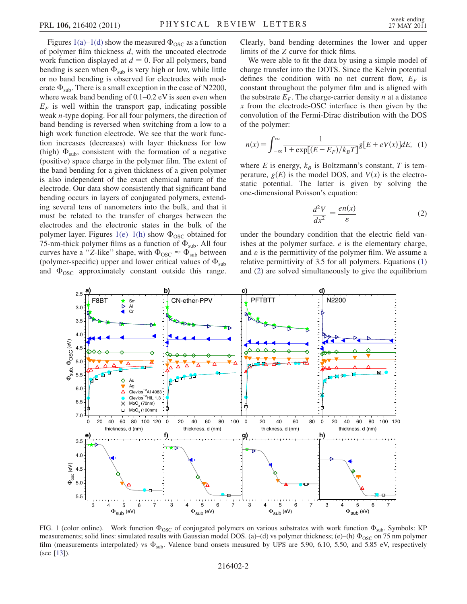Figures [1\(a\)–1\(d\)](#page-1-0) show the measured  $\Phi_{\rm OSC}$  as a function of polymer film thickness d, with the uncoated electrode work function displayed at  $d = 0$ . For all polymers, band bending is seen when  $\Phi_{sub}$  is very high or low, while little or no band bending is observed for electrodes with moderate  $\Phi_{\text{sub}}$ . There is a small exception in the case of N2200, where weak band bending of  $0.1-0.2$  eV is seen even when  $E_F$  is well within the transport gap, indicating possible weak n-type doping. For all four polymers, the direction of band bending is reversed when switching from a low to a high work function electrode. We see that the work function increases (decreases) with layer thickness for low (high)  $\Phi_{\rm sub}$ , consistent with the formation of a negative (positive) space charge in the polymer film. The extent of the band bending for a given thickness of a given polymer is also independent of the exact chemical nature of the electrode. Our data show consistently that significant band bending occurs in layers of conjugated polymers, extending several tens of nanometers into the bulk, and that it must be related to the transfer of charges between the electrodes and the electronic states in the bulk of the polymer layer. Figures [1\(e\)–1\(h\)](#page-1-0) show  $\Phi_{\rm OSC}$  obtained for 75-nm-thick polymer films as a function of  $\Phi_{sub}$ . All four curves have a "Z-like" shape, with  $\Phi_{\rm{OSC}} \approx \Phi_{\rm{sub}}$  between (polymer-specific) upper and lower critical values of  $\Phi_{sub}$ and  $\Phi_{\rm OSC}$  approximately constant outside this range.

Clearly, band bending determines the lower and upper limits of the Z curve for thick films.

We were able to fit the data by using a simple model of charge transfer into the DOTS. Since the Kelvin potential defines the condition with no net current flow,  $E_F$  is constant throughout the polymer film and is aligned with the substrate  $E_F$ . The charge-carrier density *n* at a distance x from the electrode-OSC interface is then given by the convolution of the Fermi-Dirac distribution with the DOS of the polymer:

<span id="page-1-1"></span>
$$
n(x) = \int_{-\infty}^{\infty} \frac{1}{1 + \exp[(E - E_F)/k_B T]} g[E + eV(x)]dE, \quad (1)
$$

<span id="page-1-2"></span>where E is energy,  $k_B$  is Boltzmann's constant, T is temperature,  $g(E)$  is the model DOS, and  $V(x)$  is the electrostatic potential. The latter is given by solving the one-dimensional Poisson's equation:

$$
\frac{d^2V}{dx^2} = \frac{en(x)}{\varepsilon} \tag{2}
$$

under the boundary condition that the electric field vanishes at the polymer surface.  $e$  is the elementary charge, and  $\varepsilon$  is the permittivity of the polymer film. We assume a relative permittivity of 3.5 for all polymers. Equations [\(1\)](#page-1-1) and ([2](#page-1-2)) are solved simultaneously to give the equilibrium



<span id="page-1-0"></span>FIG. 1 (color online). Work function  $\Phi_{\rm OSC}$  of conjugated polymers on various substrates with work function  $\Phi_{\rm sub}$ . Symbols: KP measurements; solid lines: simulated results with Gaussian model DOS. (a)–(d) vs polymer thickness; (e)–(h)  $\Phi_{\rm OSC}$  on 75 nm polymer film (measurements interpolated) vs  $\Phi_{sub}$ . Valence band onsets measured by UPS are 5.90, 6.10, 5.50, and 5.85 eV, respectively (see [\[13\]](#page-3-13)).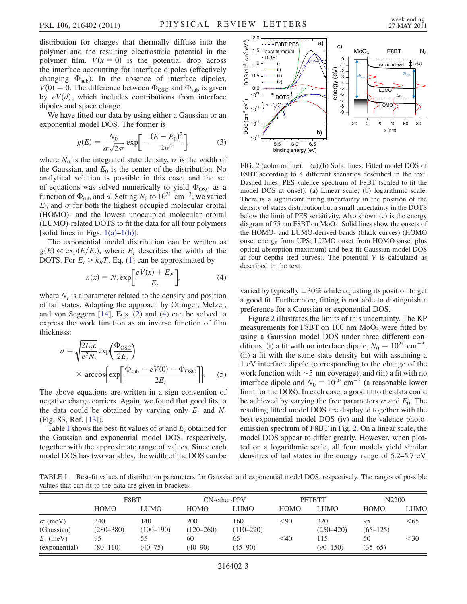distribution for charges that thermally diffuse into the polymer and the resulting electrostatic potential in the polymer film.  $V(x = 0)$  is the potential drop across the interface accounting for interface dipoles (effectively changing  $\Phi_{sub}$ ). In the absence of interface dipoles,  $V(0) = 0$ . The difference between  $\Phi_{\text{osc}}$  and  $\Phi_{\text{sub}}$  is given by  $eV(d)$ , which includes contributions from interface dipoles and space charge.

We have fitted our data by using either a Gaussian or an exponential model DOS. The former is

$$
g(E) = \frac{N_0}{\sigma\sqrt{2\pi}} \exp\left[-\frac{(E - E_0)^2}{2\sigma^2}\right],\tag{3}
$$

where  $N_0$  is the integrated state density,  $\sigma$  is the width of the Gaussian, and  $E_0$  is the center of the distribution. No analytical solution is possible in this case, and the set of equations was solved numerically to yield  $\Phi_{\rm{osc}}$  as a function of  $\Phi_{\text{sub}}$  and d. Setting  $N_0$  to  $10^{21}$  cm<sup>-3</sup>, we varied  $E_0$  and  $\sigma$  for both the highest occupied molecular orbital (HOMO)- and the lowest unoccupied molecular orbital (LUMO)-related DOTS to fit the data for all four polymers [solid lines in Figs.  $1(a)-1(h)$  $1(a)-1(h)$  $1(a)-1(h)$ ].

<span id="page-2-0"></span>The exponential model distribution can be written as  $g(E) \propto \exp(E/E_t)$ , where  $E_t$  describes the width of the DOTS. For  $E_t > k_B T$ , Eq. [\(1\)](#page-1-1) can be approximated by

$$
n(x) = N_t \exp\left[\frac{eV(x) + E_F}{E_t}\right],\tag{4}
$$

where  $N_t$  is a parameter related to the density and position of tail states. Adapting the approach by Ottinger, Melzer, and von Seggern [[14](#page-3-14)], Eqs. ([2](#page-1-2)) and [\(4](#page-2-0)) can be solved to express the work function as an inverse function of film thickness:

$$
d = \sqrt{\frac{2E_t \varepsilon}{e^2 N_t}} \exp\left(\frac{\Phi_{\text{OSC}}}{2E_t}\right)
$$
  
× arccos{exp $\left[\frac{\Phi_{\text{sub}} - eV(0) - \Phi_{\text{OSC}}}{2E_t}\right]$  (5)

The above equations are written in a sign convention of negative charge carriers. Again, we found that good fits to the data could be obtained by varying only  $E_t$  and  $N_t$ (Fig. S3, Ref. [[13](#page-3-13)]).

Table [I](#page-2-1) shows the best-fit values of  $\sigma$  and  $E_t$  obtained for the Gaussian and exponential model DOS, respectively, together with the approximate range of values. Since each model DOS has two variables, the width of the DOS can be

<span id="page-2-2"></span>

FIG. 2 (color online). (a),(b) Solid lines: Fitted model DOS of F8BT according to 4 different scenarios described in the text. Dashed lines: PES valence spectrum of F8BT (scaled to fit the model DOS at onset). (a) Linear scale; (b) logarithmic scale. There is a significant fitting uncertainty in the position of the density of states distribution but a small uncertainty in the DOTS below the limit of PES sensitivity. Also shown (c) is the energy diagram of 75 nm F8BT on  $MoO<sub>3</sub>$ . Solid lines show the onsets of the HOMO- and LUMO-derived bands (black curves) (HOMO onset energy from UPS; LUMO onset from HOMO onset plus optical absorption maximum) and best-fit Gaussian model DOS at four depths (red curves). The potential  $V$  is calculated as described in the text.

varied by typically  $\pm 30\%$  while adjusting its position to get a good fit. Furthermore, fitting is not able to distinguish a preference for a Gaussian or exponential DOS.

Figure [2](#page-2-2) illustrates the limits of this uncertainty. The KP measurements for F8BT on 100 nm  $MoO<sub>3</sub>$  were fitted by using a Gaussian model DOS under three different conditions: (i) a fit with no interface dipole,  $N_0 = 10^{21}$  cm<sup>-3</sup>; (ii) a fit with the same state density but with assuming a 1 eV interface dipole (corresponding to the change of the work function with  $\sim$  5 nm coverage); and (iii) a fit with no interface dipole and  $N_0 = 10^{20}$  cm<sup>-3</sup> (a reasonable lower limit for the DOS). In each case, a good fit to the data could be achieved by varying the free parameters  $\sigma$  and  $E_0$ . The resulting fitted model DOS are displayed together with the best exponential model DOS (iv) and the valence photoemission spectrum of F8BT in Fig. [2.](#page-2-2) On a linear scale, the model DOS appear to differ greatly. However, when plotted on a logarithmic scale, all four models yield similar densities of tail states in the energy range of 5.2–5.7 eV.

<span id="page-2-1"></span>TABLE I. Best-fit values of distribution parameters for Gaussian and exponential model DOS, respectively. The ranges of possible values that can fit to the data are given in brackets.

|                | F8BT          |               | CN-ether-PPV  |               | <b>PFTBTT</b> |               | N2200        |             |
|----------------|---------------|---------------|---------------|---------------|---------------|---------------|--------------|-------------|
|                | <b>HOMO</b>   | LUMO          | <b>HOMO</b>   | LUMO          | <b>HOMO</b>   | LUMO          | <b>HOMO</b>  | <b>LUMO</b> |
| $\sigma$ (meV) | 340           | 140           | 200           | 160           | $90$          | 320           | 95           | $\leq 65$   |
| (Gaussian)     | $(280 - 380)$ | $(100 - 190)$ | $(120 - 260)$ | $(110 - 220)$ |               | $(250 - 420)$ | $(65 - 125)$ |             |
| $E_t$ (meV)    | 95            | 55            | 60            | 65            | $<$ 40        | 115           | 50           | $30$        |
| (exponential)  | $(80-110)$    | $(40 - 75)$   | $(40 - 90)$   | $(45-90)$     |               | $(90 - 150)$  | $(35 - 65)$  |             |